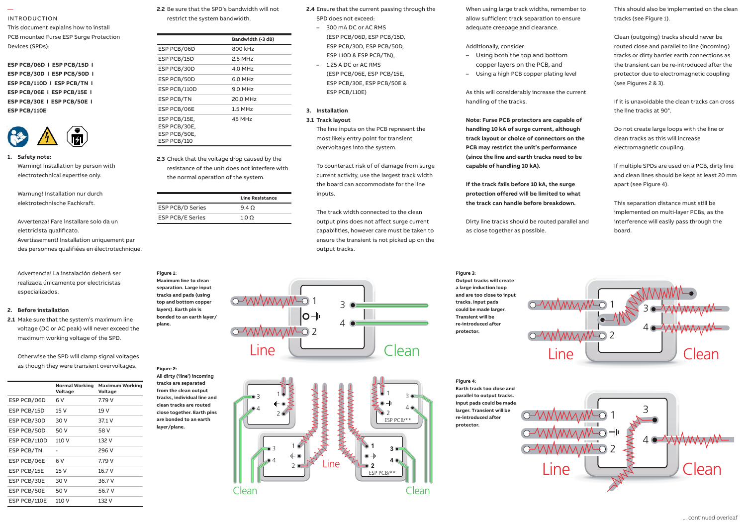#### INTRODUCTION

—

This document explains how to install PCB mounted Furse ESP Surge Protection Devices (SPDs):

**ESP PCB/06D I ESP PCB/15D I Introduction Introduction ESP PCB/30D I ESP PCB/50D I ESP PCB/110D I ESP PCB/TN I** ESP PCB/110D 1 ESP PCB/1N 1 **ESP PCB/30E I ESP PCB/50E I ESP PCB/110E**  ESP PCB/06E I ESP PCB/15E I **ESP PCB/06D I ESP PCB/15D I ESP PCB/06D I ESP PCB/15D I**



**1. Safety note: Warning! Installation by person with** electrotechnical expertise only.

Warnung! Installation nur durch elektrotechnische Fachkraft. 1.6 Provide a means of isolation for the

Avvertenza! Fare installare solo da un discrimination de la discri elettricista qualificato. Avertissement! Installation uniquement par mentissement, instandition amquement par<br>des personnes qualifiées en électrotechnique. nssensesse <sub>H</sub>eammenss.<br>wertissement! Installation uniquement par

Advertencia! La instalación deberá ser Fig realizada únicamente por electricistas **Maxim** remote display variant which permits especializados. **1**  $m_{\text{at}}$  sure that the system is maximum linear maximum linear maximum linear maximum linear maximum linear maximum linear maximum linear maximum linear maximum linear maximum linear maximum linear maximum linear maximum Make sure that the system of the system of the system of the system of the system of the system of the system of the system of the system of the system of the system of the system of the system of the system of the system

## 2. Before installation

Regulations and Building Regulations).

**2.1** Make sure that the system's maximum line bond voltage (DC or AC peak) will never exceed the Lightning maximum working voltage of the SPD.

Otherwise the SPD will clamp signal voltages  $\overline{\mathbf{A}}$  as though they were transient overvoltages.

|              | <b>Normal Working</b><br>Voltage | <b>Maximum Working</b><br>Voltage |
|--------------|----------------------------------|-----------------------------------|
| ESP PCB/06D  | 6 V                              | 7.79 V                            |
| ESP PCB/15D  | 15 V                             | 19 V                              |
| ESP PCB/30D  | 30 V                             | 37.1 V                            |
| ESP PCB/50D  | 50 V                             | 58 V                              |
| ESP PCB/110D | 110 V                            | 132 V                             |
| ESP PCB/TN   |                                  | 296 V                             |
| ESP PCB/06E  | 6 V                              | 7.79 V                            |
| ESP PCB/15E  | 15 V                             | 16.7 V                            |
| ESP PCB/30E  | 30 V                             | 36.7 V                            |
| ESP PCB/50E  | 50 V                             | 56.7 V                            |
| ESP PCB/110E | 110 V                            | 132 V                             |

**2.2** Be sure that the SPD's bandwidth will not

restrict the system bandwidth.

| rotection |                                                             | Bandwidth (-3 dB) |     |
|-----------|-------------------------------------------------------------|-------------------|-----|
|           | ESP PCB/06D                                                 | 800 kHz           |     |
|           | ESP PCB/15D                                                 | 2.5 MHz           |     |
|           | ESP PCB/30D                                                 | 4.0 MHz           |     |
|           | ESP PCB/50D                                                 | 6.0 MHz           |     |
|           | ESP PCB/110D                                                | 9.0 MHz           |     |
|           | ESP PCB/TN                                                  | 20.0 MHz          |     |
|           | ESP PCB/06E                                                 | $1.5$ MHz         | 3.  |
|           | ESP PCB/15E,<br>ESP PCB/30E,<br>ESP PCB/50E,<br>ESP PCB/110 | 45 MHz            | 3.1 |

**2.3** Check that the voltage drop caused by the resistance of the unit does not interfere with the normal operation of the system. the closest available out of the closest available out  $\mathbf{c}$ **ESP PCB/15E,** >85 MHz **ESP PCB/15E,** >85 MHz

| rch       |                         | <b>Line Resistance</b> |
|-----------|-------------------------|------------------------|
|           | ESP PCB/D Series        | $9.4 \Omega$           |
| olo da un | <b>ESP PCB/E Series</b> | $1.0 \Omega$           |
|           |                         |                        |

1.10 Bind the connecting leads tightly **Figure 1: Maximum line to clean**  *Figure 1: Maximum line Figure 1: Maximum line* **separation. Large input**  *to clean separation. to clean separation.* **tracks and pads (using**  *Large input tracks and Large input tracks and* **top and bottom copper** 

1.11 Maximum torque for power terminals is **layers). Earth pin is**  *pads (using top and pads (using top and* **bonded to an earth layer/** *bottom copper layers). bottom copper layers).* **plane.** *Earth pin is bonded to Earth pin is bonded to*

**Figure 2:** 

**All dirty ('line') incoming**  *Figure 2: All dirty ('line') Figure 2: All dirty ('line')* **tracks are separated**  *incoming tracks are incoming tracks are* **from the clean output**  *separated from the separated from the* **tracks, individual line and clean tracks are routed**  *clean output tracks, clean output tracks,* **close together. Earth pins**  *individual line and individual line and* **are bonded to an earth layer/plane.** *close together. Earth close together. Earth*

**2.4** Ensure that the current passing through the SPD does not exceed:

- 300 mA DC or AC RMS (ESP PCB/06D, ESP PCB/15D, ESP PCB/30D, ESP PCB/50D, ESP 110D & ESP PCB/TN),
- $-1.25$  A DC or AC RMS (ESP PCB/06E, ESP PCB/15E, ESP PCB/30E, ESP PCB/50E & ESP PCB/110E)

## **3. Installation**

# **3.1 <code>Track layout</code>**

**The line inputs on the PCB represent the** most likely entry point for transient overvoltages into the system.

To counteract risk of of damage from surge current activity, use the largest track width the board can accommodate for the line inputs. and can accommodate to ESP PCB/30D, ESP PCB/30D, ESP PCB/50D, ESP PCB/50D, ESP PCB/50D, ESP PCB/50D, ESP PCB/50D, ESP PCB/50D, ESP PC burg can accommodate ■ 1.25 A DC or AC RMS

The track width connected to the clean output pins does not affect surge current capabilities, however care must be taken to ensure the transient is not picked up on the output tracks. ECK WIDEN CONNECTED TO THE C rack width connected to the





When using large track widths, remember to allow sufficient track separation to ensure anow surficient track separation to ensure the critical states (see rigure 1).<br>adequate creepage and clearance.

### Additionally, consider:

- Using both the top and bottom copper layers on the PCB, and **Installation Installation**
- Using a high PCB copper plating level

As this will considerably increase the current handling of the tracks. overvoltages into the system. overvoltages into the system.

**Note: Furse PCB protectors are capable of handling 10 kA of surge current, although** manding to ke or surge current, armough<br>track layout or choice of connectors on the **PCB may restrict the unit's performance (since the line and earth tracks need to be**  The track width connected to the *clean* capable of handling 10 kA). *lck layout or cn* nce the line and earth tracks heed to be withing to ke or surge carrent, without rack layout or **c** the track width connected to the *clean*ing to the *clean*ing to the *clean*ing to the *clean*ing to the *clean*ing to the *clean*ing to the *clean*ing to the *clean*ing to the *clean*ing to the *clean*ing to the *clean*in  $bince$  the line and earth tracks need to b

If the track fails before 10 kA, the surge protection offered will be limited to what the track can handle before breakdown.

Dirty line tracks should be routed parallel and as close together as possible.

**Figure 3:** 

**Figure 4:** 

**a large induction loop**  *will create a large will create a large*

**tracks. Input pads** 

**Transient will be**  *tracks. Input pads tracks. Input pads*

**protector.** *Transient will be Transient will be*

This should also be implemented on the clean tracks (see Figure 1).

adequate creepage and clearance.<br>Clean (outgoing) tracks should never be,  $\blacksquare$ routed close and parallel to line (incoming) tracks or dirty barrier earth connections as the transient can be re-introduced after the protector due to electromagnetic coupling **(see Figures 2 & 3).** 

> If it is unavoidable the clean tracks can cross the line tracks at 90°.

Do not create large loops with the line or **earth tracks need to be capable of** clean tracks as this will increase **IF THE TRACKS AS THIS WILL INCREASE**<br>**IF ALL THE TRACK FAILS BEFORE 10 KBC.** hot create large it **surge protection offered will be earth tracks need to be capable of** o not create large **If the tracks** as this will increase **surfaction of the coupling.** 

If multiple SPDs are used on a PCB, dirty line **before breakdown. before breakdown.** and clean lines should be kept at least 20 mm apart (see Figure 4).

This separation distance must still be *clean* tracks *(see Figure 1)*. *clean* tracks *(see Figure 1)*. implemented on multi-layer PCBs, as the interference will easily pass through the board. The connections of the connections as  $\mathcal{L}$  $t$ rd $t$